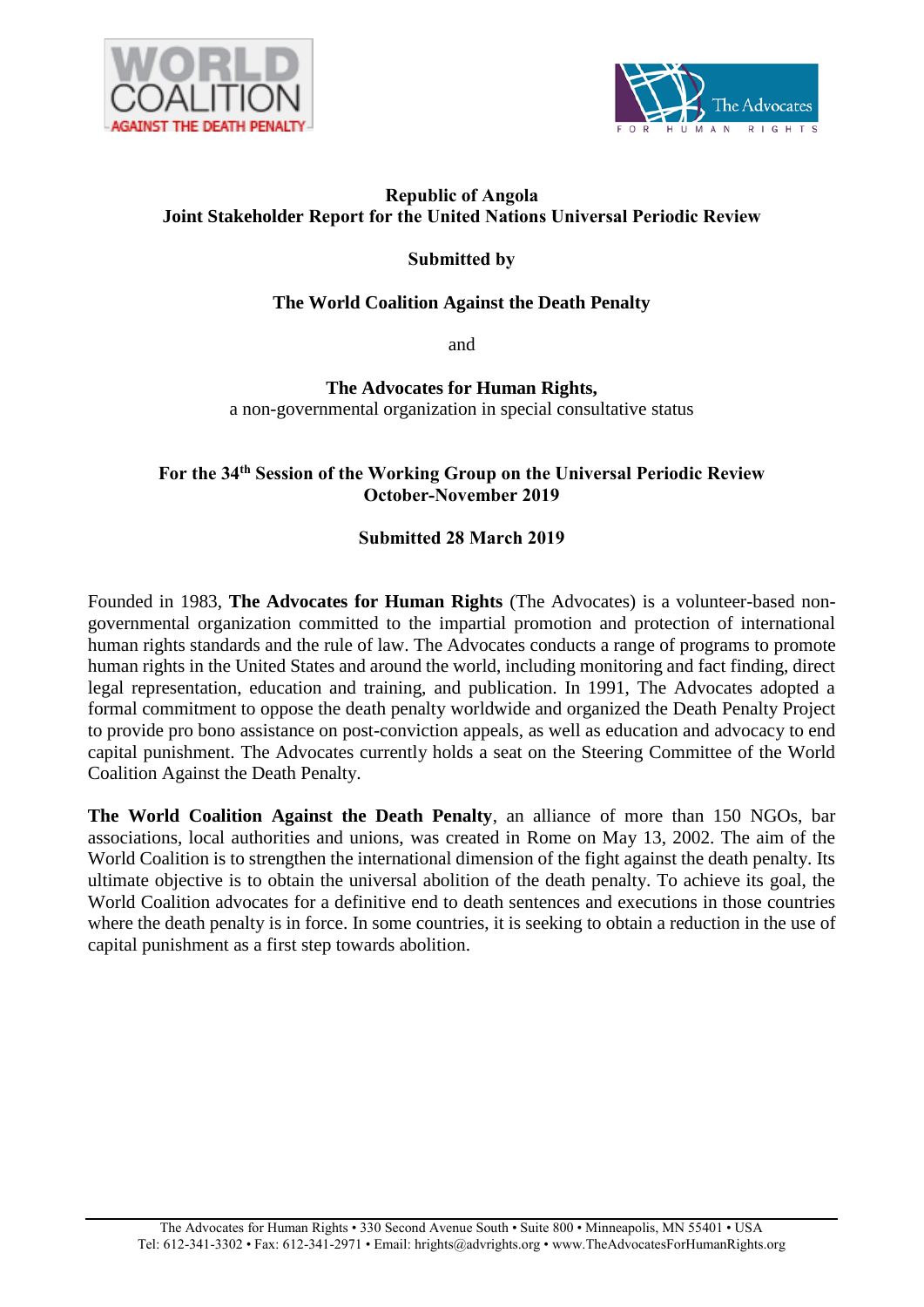



#### **Republic of Angola Joint Stakeholder Report for the United Nations Universal Periodic Review**

## **Submitted by**

## **The World Coalition Against the Death Penalty**

and

**The Advocates for Human Rights,**  a non-governmental organization in special consultative status

## **For the 34th Session of the Working Group on the Universal Periodic Review October-November 2019**

## **Submitted 28 March 2019**

Founded in 1983, **The Advocates for Human Rights** (The Advocates) is a volunteer-based nongovernmental organization committed to the impartial promotion and protection of international human rights standards and the rule of law. The Advocates conducts a range of programs to promote human rights in the United States and around the world, including monitoring and fact finding, direct legal representation, education and training, and publication. In 1991, The Advocates adopted a formal commitment to oppose the death penalty worldwide and organized the Death Penalty Project to provide pro bono assistance on post-conviction appeals, as well as education and advocacy to end capital punishment. The Advocates currently holds a seat on the Steering Committee of the World Coalition Against the Death Penalty.

**The World Coalition Against the Death Penalty**, an alliance of more than 150 NGOs, bar associations, local authorities and unions, was created in Rome on May 13, 2002. The aim of the World Coalition is to strengthen the international dimension of the fight against the death penalty. Its ultimate objective is to obtain the universal abolition of the death penalty. To achieve its goal, the World Coalition advocates for a definitive end to death sentences and executions in those countries where the death penalty is in force. In some countries, it is seeking to obtain a reduction in the use of capital punishment as a first step towards abolition.